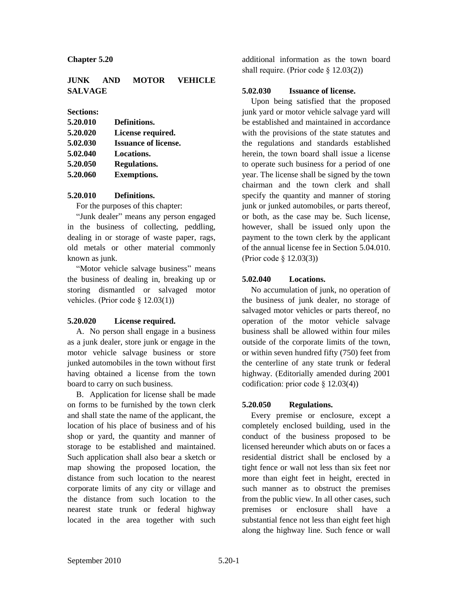#### **Chapter 5.20**

## **JUNK AND MOTOR VEHICLE SALVAGE**

#### **Sections:**

| 5.20.010 | Definitions.                |
|----------|-----------------------------|
| 5.20.020 | License required.           |
| 5.02.030 | <b>Issuance of license.</b> |
| 5.02.040 | Locations.                  |
| 5.20.050 | <b>Regulations.</b>         |
| 5.20.060 | <b>Exemptions.</b>          |
|          |                             |

### **5.20.010 Definitions.**

For the purposes of this chapter:

"Junk dealer" means any person engaged in the business of collecting, peddling, dealing in or storage of waste paper, rags, old metals or other material commonly known as junk.

"Motor vehicle salvage business" means the business of dealing in, breaking up or storing dismantled or salvaged motor vehicles. (Prior code § 12.03(1))

### **5.20.020 License required.**

A. No person shall engage in a business as a junk dealer, store junk or engage in the motor vehicle salvage business or store junked automobiles in the town without first having obtained a license from the town board to carry on such business.

B. Application for license shall be made on forms to be furnished by the town clerk and shall state the name of the applicant, the location of his place of business and of his shop or yard, the quantity and manner of storage to be established and maintained. Such application shall also bear a sketch or map showing the proposed location, the distance from such location to the nearest corporate limits of any city or village and the distance from such location to the nearest state trunk or federal highway located in the area together with such

additional information as the town board shall require. (Prior code § 12.03(2))

## **5.02.030 Issuance of license.**

Upon being satisfied that the proposed junk yard or motor vehicle salvage yard will be established and maintained in accordance with the provisions of the state statutes and the regulations and standards established herein, the town board shall issue a license to operate such business for a period of one year. The license shall be signed by the town chairman and the town clerk and shall specify the quantity and manner of storing junk or junked automobiles, or parts thereof, or both, as the case may be. Such license, however, shall be issued only upon the payment to the town clerk by the applicant of the annual license fee in Section 5.04.010. (Prior code § 12.03(3))

# **5.02.040 Locations.**

No accumulation of junk, no operation of the business of junk dealer, no storage of salvaged motor vehicles or parts thereof, no operation of the motor vehicle salvage business shall be allowed within four miles outside of the corporate limits of the town, or within seven hundred fifty (750) feet from the centerline of any state trunk or federal highway. (Editorially amended during 2001 codification: prior code § 12.03(4))

# **5.20.050 Regulations.**

Every premise or enclosure, except a completely enclosed building, used in the conduct of the business proposed to be licensed hereunder which abuts on or faces a residential district shall be enclosed by a tight fence or wall not less than six feet nor more than eight feet in height, erected in such manner as to obstruct the premises from the public view. In all other cases, such premises or enclosure shall have a substantial fence not less than eight feet high along the highway line. Such fence or wall